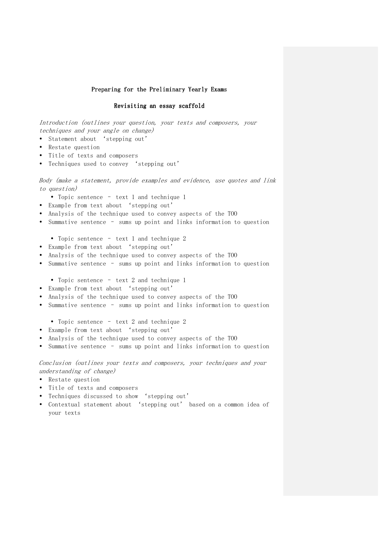### Preparing for the Preliminary Yearly Exams

#### Revisiting an essay scaffold

Introduction (outlines your question, your texts and composers, your techniques and your angle on change)

- Statement about 'stepping out'
- Restate question
- Title of texts and composers
- Techniques used to convey 'stepping out'

Body (make a statement, provide examples and evidence, use quotes and link to question)

- Topic sentence text 1 and technique 1
- Example from text about 'stepping out'
- Analysis of the technique used to convey aspects of the TOO
- Summative sentence sums up point and links information to question
	- Topic sentence text 1 and technique 2
- Example from text about 'stepping out'
- Analysis of the technique used to convey aspects of the TOO
- Summative sentence sums up point and links information to question
	- Topic sentence text 2 and technique 1
- Example from text about 'stepping out'
- Analysis of the technique used to convey aspects of the TOO
- Summative sentence sums up point and links information to question
	- Topic sentence text 2 and technique 2
- Example from text about 'stepping out'
- Analysis of the technique used to convey aspects of the TOO
- Summative sentence sums up point and links information to question

## Conclusion (outlines your texts and composers, your techniques and your understanding of change)

- Restate question
- Title of texts and composers
- Techniques discussed to show 'stepping out'
- Contextual statement about 'stepping out' based on a common idea of your texts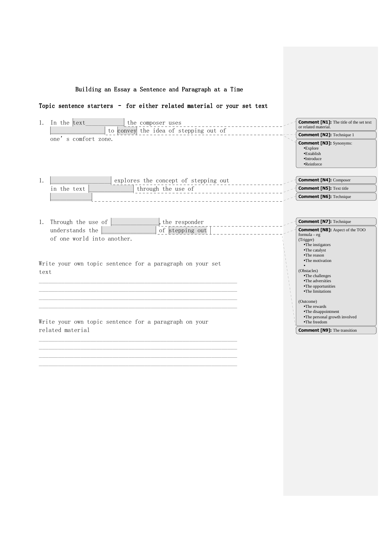Building an Essay a Sentence and Paragraph at a Time

Topic sentence starters - for either related material or your set text

| 1.                                                                                                                                                                                                                 | In the text<br>the composer uses                | <b>Comment [N1]:</b> The title of the set text<br>or related material.                                                                                                                                                                                                                                                                                          |
|--------------------------------------------------------------------------------------------------------------------------------------------------------------------------------------------------------------------|-------------------------------------------------|-----------------------------------------------------------------------------------------------------------------------------------------------------------------------------------------------------------------------------------------------------------------------------------------------------------------------------------------------------------------|
|                                                                                                                                                                                                                    | to convey the idea of stepping out of           | <b>Comment [N2]:</b> Technique 1                                                                                                                                                                                                                                                                                                                                |
|                                                                                                                                                                                                                    | one's comfort zone.                             | <b>Comment [N3]:</b> Synonyms:<br>$\bullet$ Explore<br>·Establish<br>$\bullet$ Introduce<br>$\bullet$ Reinforce                                                                                                                                                                                                                                                 |
| 1.                                                                                                                                                                                                                 | explores the concept of stepping out            | <b>Comment [N4]: Composer</b>                                                                                                                                                                                                                                                                                                                                   |
|                                                                                                                                                                                                                    | through the use of<br>in the text               | <b>Comment [N5]: Text title</b>                                                                                                                                                                                                                                                                                                                                 |
|                                                                                                                                                                                                                    |                                                 | <b>Comment [N6]: Technique</b>                                                                                                                                                                                                                                                                                                                                  |
|                                                                                                                                                                                                                    |                                                 |                                                                                                                                                                                                                                                                                                                                                                 |
| 1.                                                                                                                                                                                                                 | Through the use of $\lfloor$<br>, the responder | <b>Comment [N7]: Technique</b>                                                                                                                                                                                                                                                                                                                                  |
| of stepping out<br>understands the<br>of one world into another.<br>Write your own topic sentence for a paragraph on your set<br>text<br>Write your own topic sentence for a paragraph on your<br>related material |                                                 | <b>Comment [N8]:</b> Aspect of the TOO<br>$formula - eg$<br>(Trigger)<br>•The instigators<br>•The catalyst<br>•The reason<br>•The motivation<br>$\bullet$<br>(Obstacles)<br>•The challenges<br>•The adversities<br>• The opportunities<br>•The limitations<br>(Outcome)<br>•The rewards<br>•The disappointment<br>•The personal growth involved<br>•The freedom |
|                                                                                                                                                                                                                    |                                                 | <b>Comment [N9]:</b> The transition                                                                                                                                                                                                                                                                                                                             |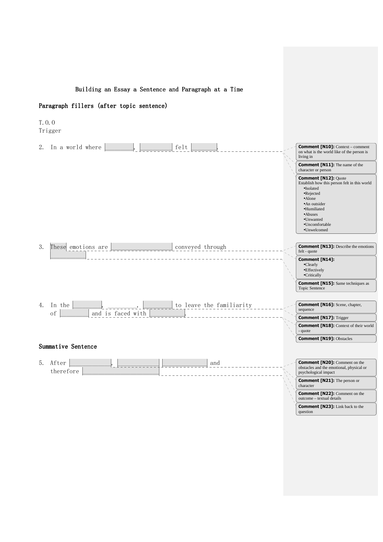# Building an Essay a Sentence and Paragraph at a Time

Paragraph fillers (after topic sentence)



**Comment [N23]:** Link back to the question